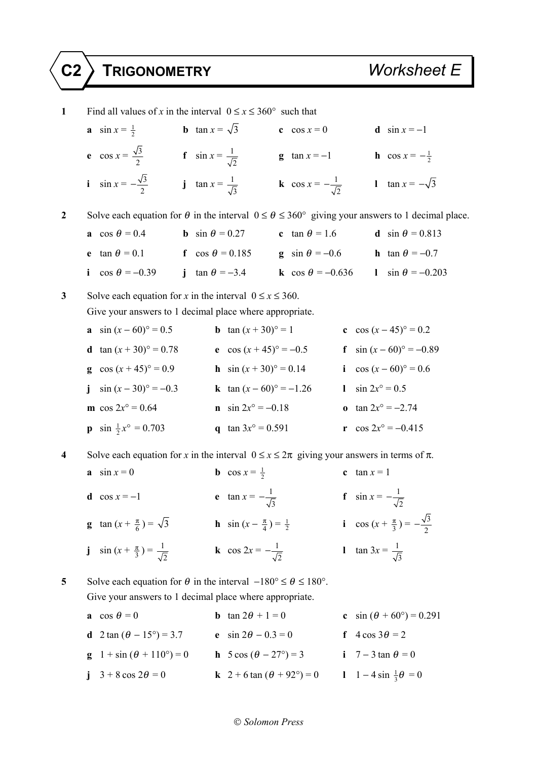| $\mathbf{1}$       | Find all values of x in the interval $0 \le x \le 360^{\circ}$ such that                                                |                                                                                                  |                                                         |  |  |  |  |
|--------------------|-------------------------------------------------------------------------------------------------------------------------|--------------------------------------------------------------------------------------------------|---------------------------------------------------------|--|--|--|--|
|                    | <b>b</b> $\tan x = \sqrt{3}$<br>a $\sin x = \frac{1}{2}$                                                                | c $\cos x = 0$                                                                                   | <b>d</b> $\sin x = -1$                                  |  |  |  |  |
|                    | <b>e</b> $\cos x = \frac{\sqrt{3}}{2}$ <b>f</b> $\sin x = \frac{1}{\sqrt{2}}$                                           |                                                                                                  | <b>g</b> $\tan x = -1$ <b>h</b> $\cos x = -\frac{1}{2}$ |  |  |  |  |
|                    | <b>i</b> $\sin x = -\frac{\sqrt{3}}{2}$                                                                                 | <b>j</b> $\tan x = \frac{1}{\sqrt{3}}$<br><b>k</b> cos $x = -\frac{1}{\sqrt{2}}$                 | 1 $\tan x = -\sqrt{3}$                                  |  |  |  |  |
| $\boldsymbol{2}$   | Solve each equation for $\theta$ in the interval $0 \le \theta \le 360^{\circ}$ giving your answers to 1 decimal place. |                                                                                                  |                                                         |  |  |  |  |
|                    | a cos $\theta = 0.4$                                                                                                    | <b>b</b> $\sin \theta = 0.27$<br>c tan $\theta$ = 1.6                                            | <b>d</b> sin $\theta$ = 0.813                           |  |  |  |  |
|                    | e $\tan \theta = 0.1$                                                                                                   | <b>f</b> $\cos \theta = 0.185$ <b>g</b> $\sin \theta = -0.6$ <b>h</b> $\tan \theta = -0.7$       |                                                         |  |  |  |  |
|                    |                                                                                                                         | i $\cos \theta = -0.39$ j $\tan \theta = -3.4$ k $\cos \theta = -0.636$ l $\sin \theta = -0.203$ |                                                         |  |  |  |  |
| 3                  | Solve each equation for x in the interval $0 \le x \le 360$ .                                                           |                                                                                                  |                                                         |  |  |  |  |
|                    | Give your answers to 1 decimal place where appropriate.                                                                 |                                                                                                  |                                                         |  |  |  |  |
|                    | <b>a</b> $\sin (x - 60)$ ° = 0.5                                                                                        | <b>b</b> $\tan (x + 30)^{\circ} = 1$                                                             | c $\cos (x-45)^{\circ} = 0.2$                           |  |  |  |  |
|                    | <b>d</b> $\tan (x + 30)^{\circ} = 0.78$                                                                                 | e $\cos(x+45)$ ° = -0.5                                                                          | f $\sin (x-60)$ ° = -0.89                               |  |  |  |  |
|                    | g cos $(x+45)$ ° = 0.9                                                                                                  | <b>h</b> $\sin (x + 30)^{\circ} = 0.14$                                                          | i $\cos (x - 60)$ ° = 0.6                               |  |  |  |  |
|                    | j $\sin (x-30)$ ° = -0.3                                                                                                | <b>k</b> $\tan (x - 60)$ ° = -1.26                                                               | 1 $\sin 2x^{\circ} = 0.5$                               |  |  |  |  |
|                    | <b>m</b> cos $2x^{\circ} = 0.64$                                                                                        | <b>n</b> $\sin 2x^{\circ} = -0.18$                                                               | <b>o</b> $\tan 2x^{\circ} = -2.74$                      |  |  |  |  |
|                    | <b>p</b> sin $\frac{1}{2}x^{\circ} = 0.703$                                                                             | q tan $3x^{\circ} = 0.591$                                                                       | r cos $2x^{\circ} = -0.415$                             |  |  |  |  |
| $\overline{\bf 4}$ | Solve each equation for x in the interval $0 \le x \le 2\pi$ giving your answers in terms of $\pi$ .                    |                                                                                                  |                                                         |  |  |  |  |
|                    | $a \sin x = 0$                                                                                                          | <b>b</b> cos $x = \frac{1}{2}$                                                                   | c $\tan x = 1$                                          |  |  |  |  |
|                    | d $\cos x = -1$                                                                                                         | <b>e</b> $\tan x = -\frac{1}{\sqrt{2}}$                                                          | <b>f</b> $\sin x = -\frac{1}{\sqrt{2}}$                 |  |  |  |  |
|                    | <b>g</b> $\tan (x + \frac{\pi}{6}) = \sqrt{3}$                                                                          | <b>h</b> $\sin(x - \frac{\pi}{4}) = \frac{1}{2}$                                                 | i cos $(x + \frac{\pi}{3}) = -\frac{\sqrt{3}}{2}$       |  |  |  |  |
|                    | <b>j</b> $\sin(x + \frac{\pi}{3}) = \frac{1}{\sqrt{2}}$                                                                 | <b>k</b> cos $2x = -\frac{1}{\sqrt{2}}$                                                          | 1 $\tan 3x = \frac{1}{\sqrt{3}}$                        |  |  |  |  |
| 5                  | Solve each equation for $\theta$ in the interval $-180^{\circ} \le \theta \le 180^{\circ}$ .                            |                                                                                                  |                                                         |  |  |  |  |
|                    | Give your answers to 1 decimal place where appropriate.                                                                 |                                                                                                  |                                                         |  |  |  |  |

| a cos $\theta = 0$                             | <b>b</b> $\tan 2\theta + 1 = 0$                 | c $\sin (\theta + 60^{\circ}) = 0.291$ |
|------------------------------------------------|-------------------------------------------------|----------------------------------------|
| <b>d</b> 2 tan $(\theta - 15^{\circ}) = 3.7$   | <b>e</b> $\sin 2\theta - 0.3 = 0$               | f $4\cos 3\theta = 2$                  |
| <b>g</b> $1 + \sin (\theta + 110^{\circ}) = 0$ | <b>h</b> $5 \cos (\theta - 27^{\circ}) = 3$     | i 7 – 3 tan $\theta$ = 0               |
| j $3 + 8 \cos 2\theta = 0$                     | <b>k</b> $2 + 6 \tan (\theta + 92^{\circ}) = 0$ | 1 1 – 4 sin $\frac{1}{3}\theta = 0$    |

## *Solomon Press*